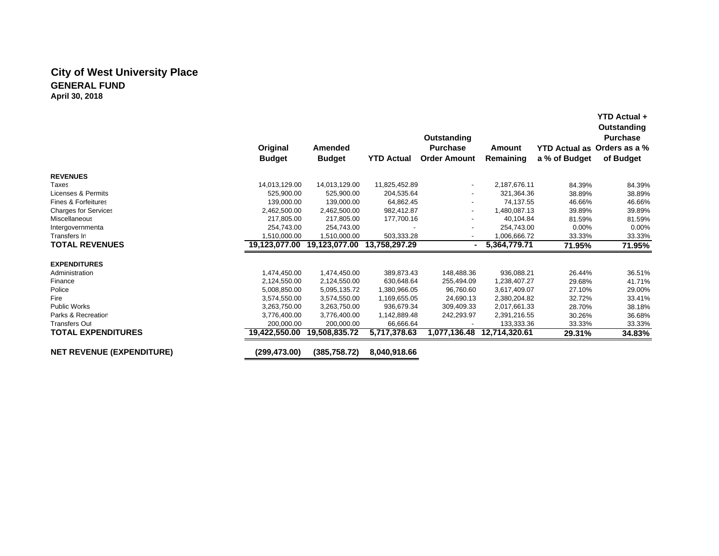# **City of West University Place GENERAL FUNDApril 30, 2018**

|                                  |               |               |                   |                                |               |                      | Outstanding<br><b>Purchase</b> |
|----------------------------------|---------------|---------------|-------------------|--------------------------------|---------------|----------------------|--------------------------------|
|                                  | Original      | Amended       |                   | Outstanding<br><b>Purchase</b> | Amount        | <b>YTD Actual as</b> | Orders as a %                  |
|                                  | <b>Budget</b> |               | <b>YTD Actual</b> | <b>Order Amount</b>            | Remaining     | a % of Budget        | of Budget                      |
|                                  |               | <b>Budget</b> |                   |                                |               |                      |                                |
| <b>REVENUES</b>                  |               |               |                   |                                |               |                      |                                |
| Taxes                            | 14,013,129.00 | 14,013,129.00 | 11,825,452.89     | $\overline{\phantom{a}}$       | 2,187,676.11  | 84.39%               | 84.39%                         |
| Licenses & Permits               | 525,900.00    | 525,900.00    | 204,535.64        |                                | 321,364.36    | 38.89%               | 38.89%                         |
| <b>Fines &amp; Forfeitures</b>   | 139,000.00    | 139.000.00    | 64,862.45         | ٠                              | 74.137.55     | 46.66%               | 46.66%                         |
| <b>Charges for Services</b>      | 2,462,500.00  | 2,462,500.00  | 982,412.87        | $\blacksquare$                 | 1,480,087.13  | 39.89%               | 39.89%                         |
| <b>Miscellaneous</b>             | 217,805.00    | 217.805.00    | 177,700.16        |                                | 40,104.84     | 81.59%               | 81.59%                         |
| Intergovernmenta                 | 254,743.00    | 254,743.00    |                   | $\overline{\phantom{a}}$       | 254,743.00    | $0.00\%$             | 0.00%                          |
| Transfers In                     | 1,510,000.00  | 1,510,000.00  | 503,333.28        | $\overline{\phantom{a}}$       | 1,006,666.72  | 33.33%               | 33.33%                         |
| <b>TOTAL REVENUES</b>            | 19,123,077.00 | 19,123,077.00 | 13,758,297.29     |                                | 5,364,779.71  | 71.95%               | 71.95%                         |
| <b>EXPENDITURES</b>              |               |               |                   |                                |               |                      |                                |
| Administration                   | 1,474,450.00  | 1,474,450.00  | 389,873.43        | 148,488.36                     | 936,088.21    | 26.44%               | 36.51%                         |
| Finance                          | 2,124,550.00  | 2,124,550.00  | 630,648.64        | 255,494.09                     | 1,238,407.27  | 29.68%               | 41.71%                         |
| Police                           | 5,008,850.00  | 5,095,135.72  | 1,380,966.05      | 96,760.60                      | 3,617,409.07  | 27.10%               | 29.00%                         |
| Fire                             | 3,574,550.00  | 3,574,550.00  | 1,169,655.05      | 24,690.13                      | 2,380,204.82  | 32.72%               | 33.41%                         |
| <b>Public Works</b>              | 3,263,750.00  | 3,263,750.00  | 936,679.34        | 309,409.33                     | 2,017,661.33  | 28.70%               | 38.18%                         |
| Parks & Recreatior               | 3,776,400.00  | 3,776,400.00  | 1,142,889.48      | 242,293.97                     | 2,391,216.55  | 30.26%               | 36.68%                         |
| <b>Transfers Out</b>             | 200.000.00    | 200.000.00    | 66.666.64         |                                | 133,333.36    | 33.33%               | 33.33%                         |
| <b>TOTAL EXPENDITURES</b>        | 19,422,550.00 | 19,508,835.72 | 5,717,378.63      | 1,077,136.48                   | 12,714,320.61 | 29.31%               | 34.83%                         |
| <b>NET REVENUE (EXPENDITURE)</b> | (299,473.00)  | (385, 758.72) | 8,040,918.66      |                                |               |                      |                                |

**YTD Actual +**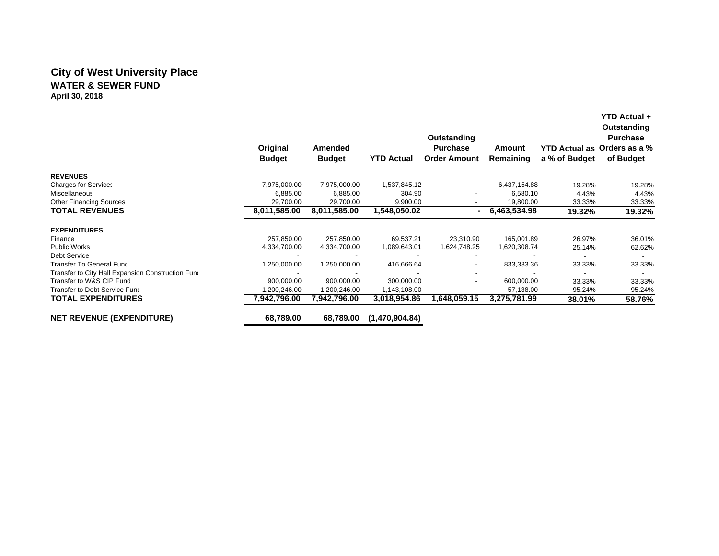# **City of West University Place WATER & SEWER FUNDApril 30, 2018**

|                                                   |               |                |                   | Outstanding         |              |                             | Outstanding<br><b>Purchase</b> |
|---------------------------------------------------|---------------|----------------|-------------------|---------------------|--------------|-----------------------------|--------------------------------|
|                                                   | Original      | <b>Amended</b> |                   | <b>Purchase</b>     | Amount       | YTD Actual as Orders as a % |                                |
|                                                   | <b>Budget</b> | <b>Budget</b>  | <b>YTD Actual</b> | <b>Order Amount</b> | Remaining    | a % of Budget               | of Budget                      |
| <b>REVENUES</b>                                   |               |                |                   |                     |              |                             |                                |
| <b>Charges for Services</b>                       | 7,975,000.00  | 7,975,000.00   | 1,537,845.12      | $\sim$              | 6,437,154.88 | 19.28%                      | 19.28%                         |
| Miscellaneous                                     | 6,885.00      | 6,885.00       | 304.90            |                     | 6,580.10     | 4.43%                       | 4.43%                          |
| <b>Other Financing Sources</b>                    | 29,700.00     | 29,700.00      | 9,900.00          |                     | 19,800.00    | 33.33%                      | 33.33%                         |
| <b>TOTAL REVENUES</b>                             | 8,011,585.00  | 8,011,585.00   | 1,548,050.02      |                     | 6,463,534.98 | 19.32%                      | 19.32%                         |
| <b>EXPENDITURES</b>                               |               |                |                   |                     |              |                             |                                |
| Finance                                           | 257,850.00    | 257,850.00     | 69,537.21         | 23,310.90           | 165,001.89   | 26.97%                      | 36.01%                         |
| <b>Public Works</b>                               | 4,334,700.00  | 4,334,700.00   | 1,089,643.01      | 1,624,748.25        | 1,620,308.74 | 25.14%                      | 62.62%                         |
| <b>Debt Service</b>                               |               |                |                   |                     |              |                             |                                |
| <b>Transfer To General Func</b>                   | 1,250,000.00  | 1,250,000.00   | 416,666.64        |                     | 833,333.36   | 33.33%                      | 33.33%                         |
| Transfer to City Hall Expansion Construction Fund |               |                |                   |                     |              |                             |                                |
| Transfer to W&S CIP Fund                          | 900,000.00    | 900,000.00     | 300,000.00        |                     | 600,000.00   | 33.33%                      | 33.33%                         |
| Transfer to Debt Service Func                     | 1,200,246.00  | 1,200,246.00   | 1,143,108.00      |                     | 57,138.00    | 95.24%                      | 95.24%                         |
| <b>TOTAL EXPENDITURES</b>                         | 7,942,796.00  | 7,942,796.00   | 3,018,954.86      | 1,648,059.15        | 3,275,781.99 | 38.01%                      | 58.76%                         |
| <b>NET REVENUE (EXPENDITURE)</b>                  | 68,789.00     | 68,789.00      | (1,470,904.84)    |                     |              |                             |                                |

**YTD Actual +**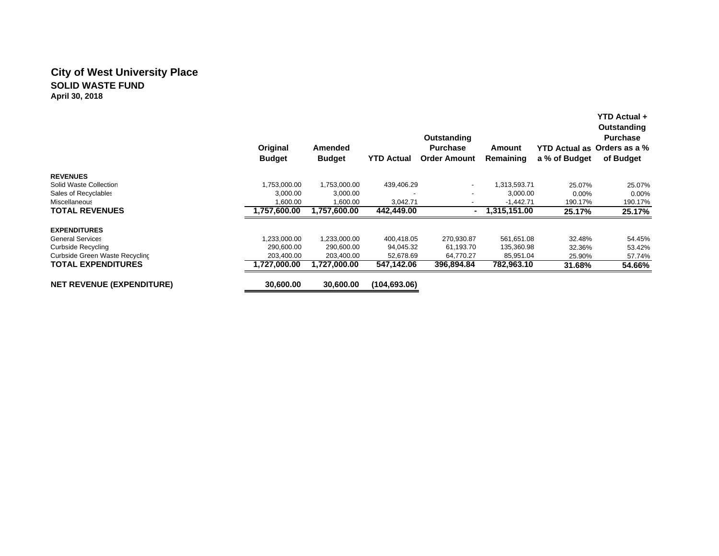# **City of West University Place SOLID WASTE FUNDApril 30, 2018**

|                                  | Original<br><b>Budget</b> | Amended<br><b>Budget</b> | <b>YTD Actual</b> | Outstanding<br><b>Purchase</b><br><b>Order Amount</b> | Amount<br>Remaining | a % of Budget | YTD Actual +<br>Outstanding<br><b>Purchase</b><br>YTD Actual as Orders as a %<br>of Budget |
|----------------------------------|---------------------------|--------------------------|-------------------|-------------------------------------------------------|---------------------|---------------|--------------------------------------------------------------------------------------------|
| <b>REVENUES</b>                  |                           |                          |                   |                                                       |                     |               |                                                                                            |
| Solid Waste Collection           | 1,753,000.00              | 1,753,000.00             | 439,406.29        | $\sim$                                                | 1,313,593.71        | 25.07%        | 25.07%                                                                                     |
| Sales of Recyclables             | 3,000.00                  | 3,000.00                 |                   |                                                       | 3,000.00            | $0.00\%$      | $0.00\%$                                                                                   |
| Miscellaneous                    | 1,600.00                  | 1,600.00                 | 3,042.71          | -                                                     | $-1,442.71$         | 190.17%       | 190.17%                                                                                    |
| <b>TOTAL REVENUES</b>            | 1,757,600.00              | 1.757.600.00             | 442,449.00        |                                                       | 1,315,151.00        | 25.17%        | 25.17%                                                                                     |
| <b>EXPENDITURES</b>              |                           |                          |                   |                                                       |                     |               |                                                                                            |
| <b>General Services</b>          | 1,233,000.00              | 1,233,000.00             | 400,418.05        | 270,930.87                                            | 561,651.08          | 32.48%        | 54.45%                                                                                     |
| Curbside Recycling               | 290,600.00                | 290,600.00               | 94,045.32         | 61,193.70                                             | 135,360.98          | 32.36%        | 53.42%                                                                                     |
| Curbside Green Waste Recycling   | 203,400.00                | 203,400.00               | 52,678.69         | 64,770.27                                             | 85,951.04           | 25.90%        | 57.74%                                                                                     |
| <b>TOTAL EXPENDITURES</b>        | .727.000.00               | 1.727.000.00             | 547.142.06        | 396.894.84                                            | 782,963.10          | 31.68%        | 54.66%                                                                                     |
| <b>NET REVENUE (EXPENDITURE)</b> | 30,600.00                 | 30.600.00                | (104, 693.06)     |                                                       |                     |               |                                                                                            |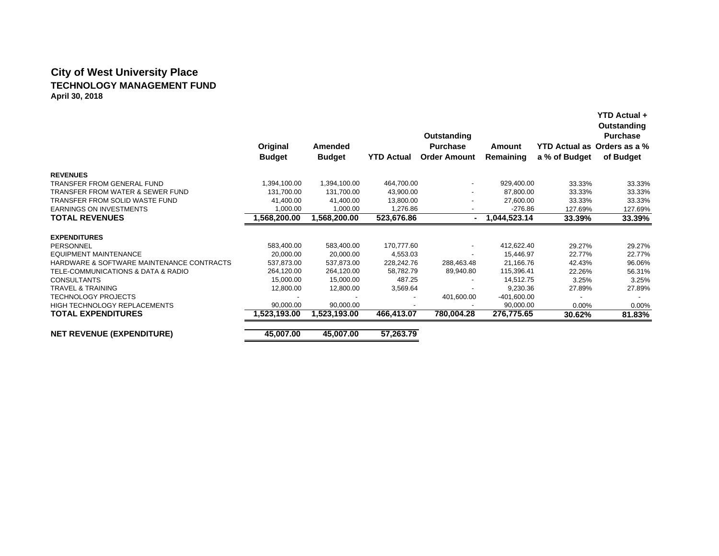# **City of West University Place TECHNOLOGY MANAGEMENT FUNDApril 30, 2018**

|                                           | Original<br><b>Budget</b> | Amended<br><b>Budget</b> | <b>YTD Actual</b> | Outstanding<br><b>Purchase</b><br><b>Order Amount</b> | Amount<br>Remaining | YTD Actual as Orders as a %<br>a % of Budget | YTD Actual +<br>Outstanding<br><b>Purchase</b><br>of Budget |
|-------------------------------------------|---------------------------|--------------------------|-------------------|-------------------------------------------------------|---------------------|----------------------------------------------|-------------------------------------------------------------|
| <b>REVENUES</b>                           |                           |                          |                   |                                                       |                     |                                              |                                                             |
| TRANSFER FROM GENERAL FUND                | 1,394,100.00              | 1,394,100.00             | 464,700.00        | $\overline{\phantom{a}}$                              | 929.400.00          | 33.33%                                       | 33.33%                                                      |
| TRANSFER FROM WATER & SEWER FUND          | 131,700.00                | 131,700.00               | 43,900.00         |                                                       | 87,800.00           | 33.33%                                       | 33.33%                                                      |
| TRANSFER FROM SOLID WASTE FUND            | 41,400.00                 | 41,400.00                | 13,800.00         |                                                       | 27,600.00           | 33.33%                                       | 33.33%                                                      |
| <b>EARNINGS ON INVESTMENTS</b>            | 1,000.00                  | 1,000.00                 | 1.276.86          |                                                       | $-276.86$           | 127.69%                                      | 127.69%                                                     |
| <b>TOTAL REVENUES</b>                     | 00.00.568,200.            | 1,568,200.00             | 523,676.86        |                                                       | 1,044,523.14        | 33.39%                                       | 33.39%                                                      |
| <b>EXPENDITURES</b>                       |                           |                          |                   |                                                       |                     |                                              |                                                             |
| PERSONNEL                                 | 583,400.00                | 583,400.00               | 170,777.60        | $\overline{\phantom{a}}$                              | 412,622.40          | 29.27%                                       | 29.27%                                                      |
| EQUIPMENT MAINTENANCE                     | 20,000.00                 | 20.000.00                | 4,553.03          | $\overline{\phantom{a}}$                              | 15.446.97           | 22.77%                                       | 22.77%                                                      |
| HARDWARE & SOFTWARE MAINTENANCE CONTRACTS | 537,873.00                | 537,873.00               | 228,242.76        | 288,463.48                                            | 21.166.76           | 42.43%                                       | 96.06%                                                      |
| TELE-COMMUNICATIONS & DATA & RADIO        | 264,120.00                | 264,120.00               | 58,782.79         | 89,940.80                                             | 115,396.41          | 22.26%                                       | 56.31%                                                      |
| <b>CONSULTANTS</b>                        | 15,000.00                 | 15,000.00                | 487.25            |                                                       | 14,512.75           | 3.25%                                        | 3.25%                                                       |
| <b>TRAVEL &amp; TRAINING</b>              | 12,800.00                 | 12,800.00                | 3,569.64          |                                                       | 9,230.36            | 27.89%                                       | 27.89%                                                      |
| <b>TECHNOLOGY PROJECTS</b>                |                           |                          |                   | 401,600.00                                            | $-401,600.00$       |                                              |                                                             |
| <b>HIGH TECHNOLOGY REPLACEMENTS</b>       | 90,000.00                 | 90.000.00                |                   |                                                       | 90,000.00           | $0.00\%$                                     | 0.00%                                                       |
| <b>TOTAL EXPENDITURES</b>                 | 1,523,193.00              | 1,523,193.00             | 466,413.07        | 780,004.28                                            | 276,775.65          | 30.62%                                       | 81.83%                                                      |
| <b>NET REVENUE (EXPENDITURE)</b>          | 45,007.00                 | 45,007.00                | 57,263.79         |                                                       |                     |                                              |                                                             |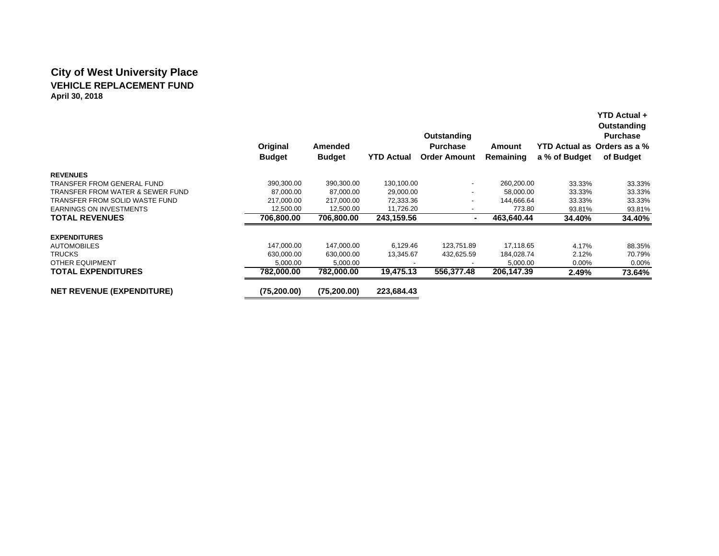# **City of West University Place VEHICLE REPLACEMENT FUNDApril 30, 2018**

|                                  | Original<br><b>Budget</b> | Amended<br><b>Budget</b> | <b>YTD Actual</b> | Outstanding<br><b>Purchase</b><br><b>Order Amount</b> | Amount<br>Remaining | a % of Budget | YTD Actual +<br>Outstanding<br><b>Purchase</b><br>YTD Actual as Orders as a %<br>of Budget |
|----------------------------------|---------------------------|--------------------------|-------------------|-------------------------------------------------------|---------------------|---------------|--------------------------------------------------------------------------------------------|
| <b>REVENUES</b>                  |                           |                          |                   |                                                       |                     |               |                                                                                            |
| TRANSFER FROM GENERAL FUND       | 390,300.00                | 390,300.00               | 130,100.00        | $\overline{\phantom{a}}$                              | 260,200.00          | 33.33%        | 33.33%                                                                                     |
| TRANSFER FROM WATER & SEWER FUND | 87,000.00                 | 87,000.00                | 29,000.00         | -                                                     | 58,000.00           | 33.33%        | 33.33%                                                                                     |
| TRANSFER FROM SOLID WASTE FUND   | 217.000.00                | 217,000.00               | 72,333.36         | ٠                                                     | 144.666.64          | 33.33%        | 33.33%                                                                                     |
| <b>EARNINGS ON INVESTMENTS</b>   | 12,500.00                 | 12,500.00                | 11,726.20         |                                                       | 773.80              | 93.81%        | 93.81%                                                                                     |
| <b>TOTAL REVENUES</b>            | 706,800.00                | 706,800.00               | 243,159.56        |                                                       | 463,640.44          | 34.40%        | 34.40%                                                                                     |
| <b>EXPENDITURES</b>              |                           |                          |                   |                                                       |                     |               |                                                                                            |
| <b>AUTOMOBILES</b>               | 147,000.00                | 147,000.00               | 6,129.46          | 123,751.89                                            | 17,118.65           | 4.17%         | 88.35%                                                                                     |
| <b>TRUCKS</b>                    | 630.000.00                | 630,000.00               | 13,345.67         | 432,625.59                                            | 184,028.74          | 2.12%         | 70.79%                                                                                     |
| OTHER EQUIPMENT                  | 5,000.00                  | 5,000.00                 |                   |                                                       | 5,000.00            | $0.00\%$      | $0.00\%$                                                                                   |
| <b>TOTAL EXPENDITURES</b>        | 782,000.00                | 782,000.00               | 19,475.13         | 556,377.48                                            | 206,147.39          | 2.49%         | 73.64%                                                                                     |
| <b>NET REVENUE (EXPENDITURE)</b> | (75, 200.00)              | (75, 200.00)             | 223,684.43        |                                                       |                     |               |                                                                                            |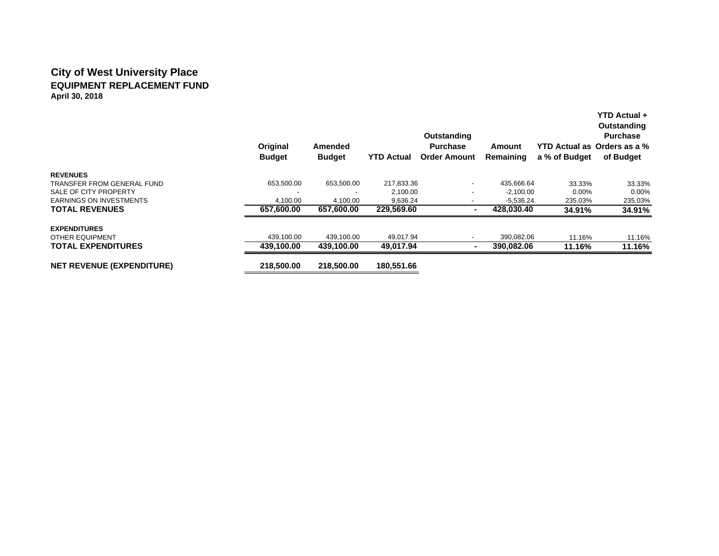# **City of West University Place EQUIPMENT REPLACEMENT FUNDApril 30, 2018**

|                                  | Original<br><b>Budget</b> | Amended<br><b>Budget</b> | <b>YTD Actual</b> | Outstanding<br><b>Purchase</b><br><b>Order Amount</b> | Amount<br>Remaining | a % of Budget | <b>YTD Actual +</b><br>Outstanding<br><b>Purchase</b><br>YTD Actual as Orders as a %<br>of Budget |
|----------------------------------|---------------------------|--------------------------|-------------------|-------------------------------------------------------|---------------------|---------------|---------------------------------------------------------------------------------------------------|
| <b>REVENUES</b>                  |                           |                          |                   |                                                       |                     |               |                                                                                                   |
| TRANSFER FROM GENERAL FUND       | 653,500.00                | 653,500.00               | 217,833.36        | $\overline{\phantom{a}}$                              | 435,666.64          | 33.33%        | 33.33%                                                                                            |
| SALE OF CITY PROPERTY            |                           |                          | 2,100.00          | ٠                                                     | $-2,100.00$         | $0.00\%$      | $0.00\%$                                                                                          |
| <b>EARNINGS ON INVESTMENTS</b>   | 4,100.00                  | 4,100.00                 | 9,636.24          |                                                       | $-5,536.24$         | 235.03%       | 235.03%                                                                                           |
| <b>TOTAL REVENUES</b>            | 657,600.00                | 657,600.00               | 229,569.60        |                                                       | 428.030.40          | 34.91%        | 34.91%                                                                                            |
| <b>EXPENDITURES</b>              |                           |                          |                   |                                                       |                     |               |                                                                                                   |
| <b>OTHER EQUIPMENT</b>           | 439,100.00                | 439,100.00               | 49.017.94         | $\overline{\phantom{a}}$                              | 390,082.06          | 11.16%        | 11.16%                                                                                            |
| <b>TOTAL EXPENDITURES</b>        | 439.100.00                | 439.100.00               | 49,017.94         | $\blacksquare$                                        | 390.082.06          | 11.16%        | 11.16%                                                                                            |
| <b>NET REVENUE (EXPENDITURE)</b> | 218.500.00                | 218.500.00               | 180.551.66        |                                                       |                     |               |                                                                                                   |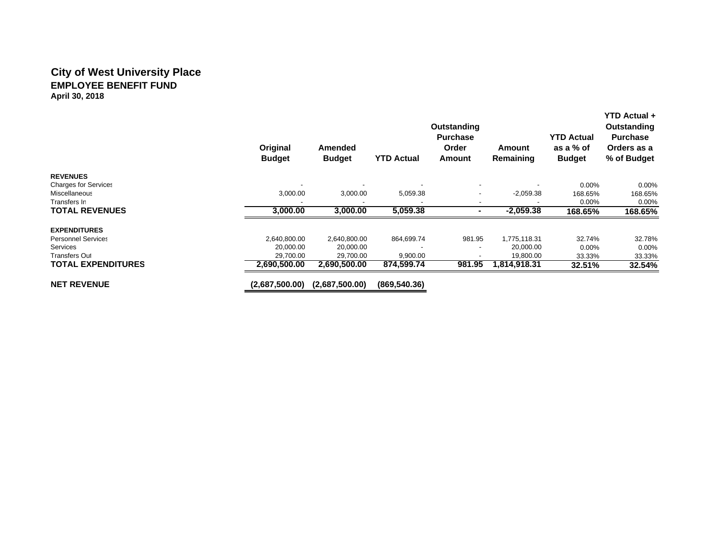## **City of West University Place EMPLOYEE BENEFIT FUND April 30, 2018**

|                             | Original<br><b>Budget</b> | <b>Amended</b><br><b>Budget</b> | <b>YTD Actual</b> | <b>Outstanding</b><br><b>Purchase</b><br>Order<br>Amount | Amount<br>Remaining | <b>YTD Actual</b><br>as a % of<br><b>Budget</b> | <b>YTD Actual +</b><br>Outstanding<br><b>Purchase</b><br>Orders as a<br>% of Budget |
|-----------------------------|---------------------------|---------------------------------|-------------------|----------------------------------------------------------|---------------------|-------------------------------------------------|-------------------------------------------------------------------------------------|
| <b>REVENUES</b>             |                           |                                 |                   |                                                          |                     |                                                 |                                                                                     |
| <b>Charges for Services</b> |                           |                                 |                   | $\overline{\phantom{a}}$                                 |                     | 0.00%                                           | $0.00\%$                                                                            |
| Miscellaneous               | 3,000.00                  | 3,000.00                        | 5,059.38          | $\overline{\phantom{a}}$                                 | $-2,059.38$         | 168.65%                                         | 168.65%                                                                             |
| Transfers In                |                           | $\overline{\phantom{a}}$        |                   |                                                          |                     | 0.00%                                           | 0.00%                                                                               |
| <b>TOTAL REVENUES</b>       | 3,000.00                  | 3,000.00                        | 5,059.38          | ۰                                                        | $-2,059.38$         | 168.65%                                         | 168.65%                                                                             |
| <b>EXPENDITURES</b>         |                           |                                 |                   |                                                          |                     |                                                 |                                                                                     |
| <b>Personnel Services</b>   | 2,640,800.00              | 2,640,800.00                    | 864,699.74        | 981.95                                                   | 1,775,118.31        | 32.74%                                          | 32.78%                                                                              |
| <b>Services</b>             | 20,000.00                 | 20,000.00                       |                   |                                                          | 20,000.00           | 0.00%                                           | 0.00%                                                                               |
| <b>Transfers Out</b>        | 29,700.00                 | 29,700.00                       | 9,900.00          |                                                          | 19,800.00           | 33.33%                                          | 33.33%                                                                              |
| <b>TOTAL EXPENDITURES</b>   | 2,690,500.00              | 2,690,500.00                    | 874,599.74        | 981.95                                                   | 1,814,918.31        | 32.51%                                          | 32.54%                                                                              |
| <b>NET REVENUE</b>          | (2,687,500.00)            | (2,687,500.00)                  | (869, 540.36)     |                                                          |                     |                                                 |                                                                                     |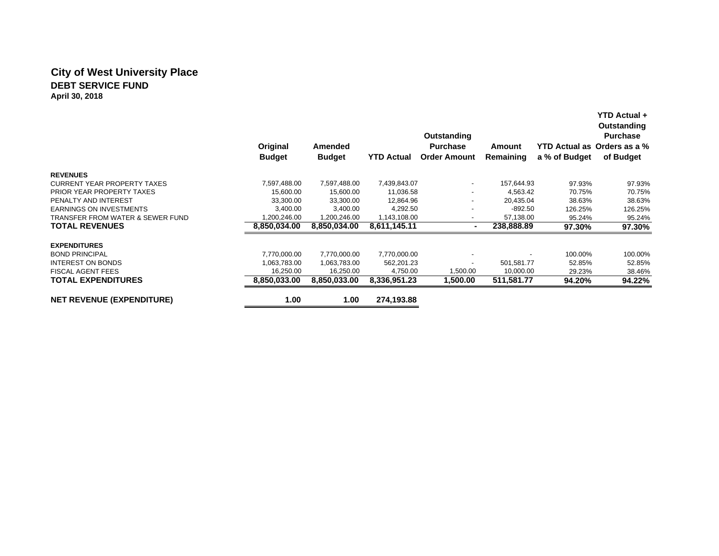# **City of West University Place DEBT SERVICE FUNDApril 30, 2018**

|                                    | Original<br><b>Budget</b> | Amended<br><b>Budget</b> | <b>YTD Actual</b> | Outstanding<br><b>Purchase</b><br><b>Order Amount</b> | Amount<br>Remaining | a % of Budget | Outstanding<br><b>Purchase</b><br>YTD Actual as Orders as a %<br>of Budget |
|------------------------------------|---------------------------|--------------------------|-------------------|-------------------------------------------------------|---------------------|---------------|----------------------------------------------------------------------------|
| <b>REVENUES</b>                    |                           |                          |                   |                                                       |                     |               |                                                                            |
| <b>CURRENT YEAR PROPERTY TAXES</b> | 7,597,488.00              | 7,597,488.00             | 7,439,843.07      | $\overline{\phantom{a}}$                              | 157,644.93          | 97.93%        | 97.93%                                                                     |
| PRIOR YEAR PROPERTY TAXES          | 15,600.00                 | 15,600.00                | 11,036.58         | $\overline{\phantom{a}}$                              | 4,563.42            | 70.75%        | 70.75%                                                                     |
| PENALTY AND INTEREST               | 33,300.00                 | 33,300.00                | 12,864.96         | ٠                                                     | 20,435.04           | 38.63%        | 38.63%                                                                     |
| <b>EARNINGS ON INVESTMENTS</b>     | 3,400.00                  | 3,400.00                 | 4,292.50          |                                                       | $-892.50$           | 126.25%       | 126.25%                                                                    |
| TRANSFER FROM WATER & SEWER FUND   | 1,200,246.00              | 1,200,246.00             | 1,143,108.00      | $\overline{\phantom{a}}$                              | 57,138.00           | 95.24%        | 95.24%                                                                     |
| <b>TOTAL REVENUES</b>              | 8,850,034.00              | 8,850,034.00             | 8,611,145.11      |                                                       | 238,888.89          | 97.30%        | 97.30%                                                                     |
| <b>EXPENDITURES</b>                |                           |                          |                   |                                                       |                     |               |                                                                            |
| <b>BOND PRINCIPAL</b>              | 7,770,000.00              | 7,770,000.00             | 7,770,000.00      |                                                       |                     | 100.00%       | 100.00%                                                                    |
| <b>INTEREST ON BONDS</b>           | 1,063,783.00              | 1,063,783.00             | 562,201.23        | ٠                                                     | 501,581.77          | 52.85%        | 52.85%                                                                     |
| <b>FISCAL AGENT FEES</b>           | 16,250.00                 | 16,250.00                | 4,750.00          | 1,500.00                                              | 10,000.00           | 29.23%        | 38.46%                                                                     |
| <b>TOTAL EXPENDITURES</b>          | 8,850,033.00              | 8,850,033.00             | 8,336,951.23      | 1,500.00                                              | 511,581.77          | 94.20%        | 94.22%                                                                     |
| <b>NET REVENUE (EXPENDITURE)</b>   | 1.00                      | 1.00                     | 274,193.88        |                                                       |                     |               |                                                                            |

**YTD Actual +**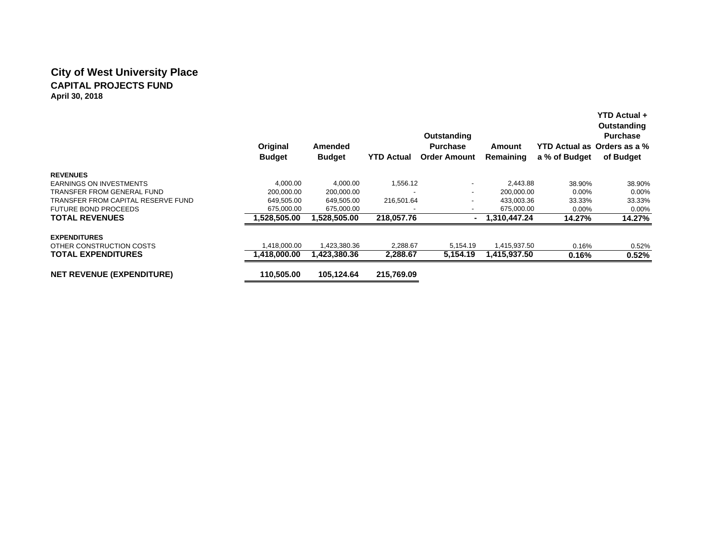# **City of West University Place CAPITAL PROJECTS FUNDApril 30, 2018**

|                                    | Original<br><b>Budget</b> | Amended<br><b>Budget</b> | <b>YTD Actual</b> | Outstanding<br><b>Purchase</b><br><b>Order Amount</b> | Amount<br>Remaining | a % of Budget | YTD Actual +<br>Outstanding<br><b>Purchase</b><br>YTD Actual as Orders as a %<br>of Budget |
|------------------------------------|---------------------------|--------------------------|-------------------|-------------------------------------------------------|---------------------|---------------|--------------------------------------------------------------------------------------------|
| <b>REVENUES</b>                    |                           |                          |                   |                                                       |                     |               |                                                                                            |
| <b>EARNINGS ON INVESTMENTS</b>     | 4.000.00                  | 4.000.00                 | 1,556.12          | $\overline{\phantom{a}}$                              | 2.443.88            | 38.90%        | 38.90%                                                                                     |
| TRANSFER FROM GENERAL FUND         | 200,000.00                | 200,000.00               |                   | $\overline{\phantom{a}}$                              | 200,000.00          | $0.00\%$      | 0.00%                                                                                      |
| TRANSFER FROM CAPITAL RESERVE FUND | 649,505.00                | 649,505.00               | 216,501.64        | $\overline{\phantom{a}}$                              | 433,003.36          | 33.33%        | 33.33%                                                                                     |
| <b>FUTURE BOND PROCEEDS</b>        | 675,000.00                | 675,000.00               |                   | $\overline{\phantom{a}}$                              | 675,000.00          | $0.00\%$      | 0.00%                                                                                      |
| <b>TOTAL REVENUES</b>              | 1.528.505.00              | 1.528.505.00             | 218,057.76        |                                                       | 1.310.447.24        | 14.27%        | 14.27%                                                                                     |
| <b>EXPENDITURES</b>                |                           |                          |                   |                                                       |                     |               |                                                                                            |
| OTHER CONSTRUCTION COSTS           | ,418,000.00               | 1,423,380.36             | 2,288.67          | 5,154.19                                              | 1,415,937.50        | 0.16%         | 0.52%                                                                                      |
| <b>TOTAL EXPENDITURES</b>          | 1.418.000.00              | 1.423.380.36             | 2,288.67          | 5,154.19                                              | 1,415,937.50        | 0.16%         | 0.52%                                                                                      |
| <b>NET REVENUE (EXPENDITURE)</b>   | 110.505.00                | 105.124.64               | 215.769.09        |                                                       |                     |               |                                                                                            |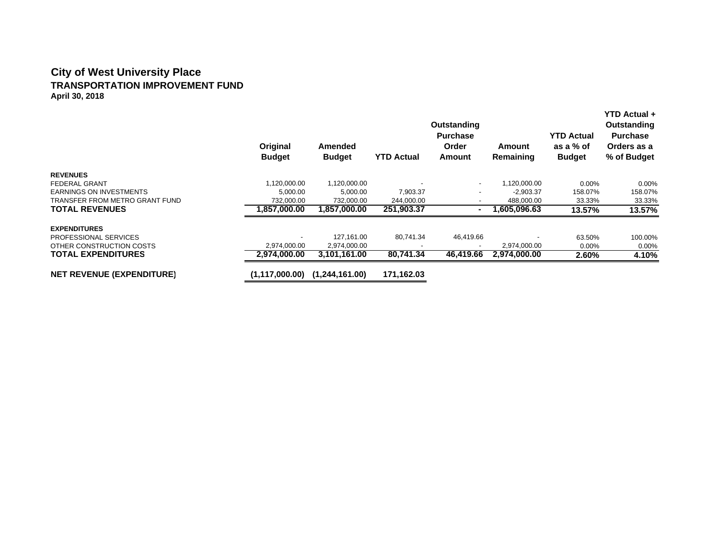### **City of West University Place TRANSPORTATION IMPROVEMENT FUND April 30, 2018**

|                                  | Original<br><b>Budget</b> | <b>Amended</b><br><b>Budget</b> | <b>YTD Actual</b> | Outstanding<br><b>Purchase</b><br>Order<br>Amount | Amount<br>Remaining | <b>YTD Actual</b><br>as a % of<br><b>Budget</b> | <b>YTD Actual +</b><br>Outstanding<br><b>Purchase</b><br>Orders as a<br>% of Budget |
|----------------------------------|---------------------------|---------------------------------|-------------------|---------------------------------------------------|---------------------|-------------------------------------------------|-------------------------------------------------------------------------------------|
| <b>REVENUES</b>                  |                           |                                 |                   |                                                   |                     |                                                 |                                                                                     |
| <b>FEDERAL GRANT</b>             | 1,120,000.00              | 1,120,000.00                    |                   | $\overline{\phantom{a}}$                          | 1,120,000.00        | $0.00\%$                                        | $0.00\%$                                                                            |
| <b>EARNINGS ON INVESTMENTS</b>   | 5,000.00                  | 5,000.00                        | 7,903.37          |                                                   | $-2,903.37$         | 158.07%                                         | 158.07%                                                                             |
| TRANSFER FROM METRO GRANT FUND   | 732.000.00                | 732,000.00                      | 244,000.00        |                                                   | 488,000.00          | 33.33%                                          | 33.33%                                                                              |
| <b>TOTAL REVENUES</b>            | 1,857,000.00              | 1,857,000.00                    | 251,903.37        | $\sim$                                            | 605.096.63.ا        | 13.57%                                          | 13.57%                                                                              |
| <b>EXPENDITURES</b>              |                           |                                 |                   |                                                   |                     |                                                 |                                                                                     |
| <b>PROFESSIONAL SERVICES</b>     |                           | 127,161.00                      | 80,741.34         | 46,419.66                                         |                     | 63.50%                                          | 100.00%                                                                             |
| OTHER CONSTRUCTION COSTS         | 2,974,000.00              | 2,974,000.00                    |                   | $\overline{\phantom{a}}$                          | 2,974,000.00        | 0.00%                                           | $0.00\%$                                                                            |
| <b>TOTAL EXPENDITURES</b>        | 2,974,000.00              | 3,101,161.00                    | 80,741.34         | 46,419.66                                         | 2,974,000.00        | 2.60%                                           | 4.10%                                                                               |
| <b>NET REVENUE (EXPENDITURE)</b> | (1,117,000.00)            | (1,244,161.00)                  | 171,162.03        |                                                   |                     |                                                 |                                                                                     |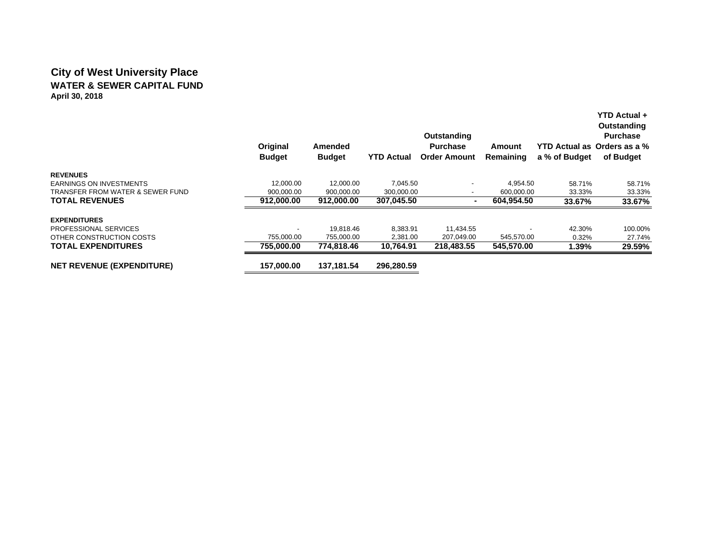# **City of West University Place WATER & SEWER CAPITAL FUNDApril 30, 2018**

|                                  | Original<br><b>Budget</b> | <b>Amended</b><br><b>Budget</b> | <b>YTD Actual</b> | Outstanding<br><b>Purchase</b><br><b>Order Amount</b> | Amount<br>Remaining | a % of Budget | <b>YTD Actual +</b><br>Outstanding<br><b>Purchase</b><br>YTD Actual as Orders as a %<br>of Budget |
|----------------------------------|---------------------------|---------------------------------|-------------------|-------------------------------------------------------|---------------------|---------------|---------------------------------------------------------------------------------------------------|
| <b>REVENUES</b>                  |                           |                                 |                   |                                                       |                     |               |                                                                                                   |
| <b>EARNINGS ON INVESTMENTS</b>   | 12,000.00                 | 12.000.00                       | 7,045.50          |                                                       | 4,954.50            | 58.71%        | 58.71%                                                                                            |
| TRANSFER FROM WATER & SEWER FUND | 900,000.00                | 900,000.00                      | 300,000.00        | -                                                     | 600,000.00          | 33.33%        | 33.33%                                                                                            |
| <b>TOTAL REVENUES</b>            | 912.000.00                | 912,000.00                      | 307,045.50        |                                                       | 604.954.50          | 33.67%        | 33.67%                                                                                            |
| <b>EXPENDITURES</b>              |                           |                                 |                   |                                                       |                     |               |                                                                                                   |
| PROFESSIONAL SERVICES            |                           | 19.818.46                       | 8,383.91          | 11,434.55                                             |                     | 42.30%        | 100.00%                                                                                           |
| OTHER CONSTRUCTION COSTS         | 755.000.00                | 755,000.00                      | 2,381.00          | 207,049.00                                            | 545,570.00          | 0.32%         | 27.74%                                                                                            |
| <b>TOTAL EXPENDITURES</b>        | 755.000.00                | 774.818.46                      | 10,764.91         | 218.483.55                                            | 545,570.00          | 1.39%         | 29.59%                                                                                            |
| <b>NET REVENUE (EXPENDITURE)</b> | 157,000.00                | 137.181.54                      | 296,280.59        |                                                       |                     |               |                                                                                                   |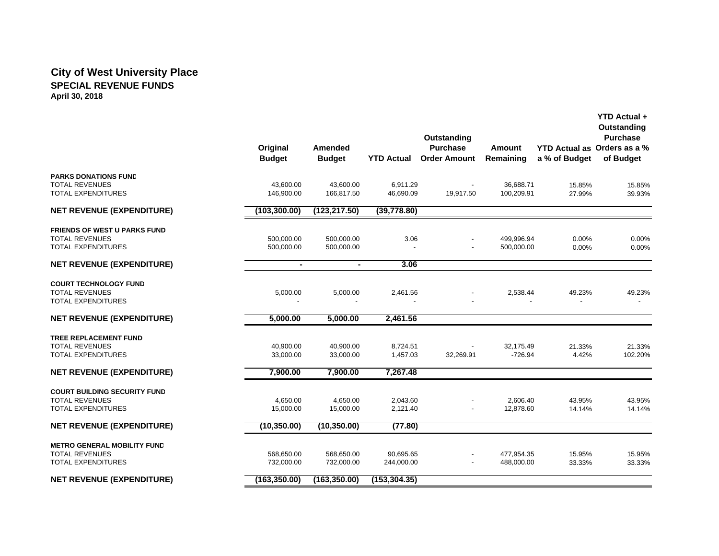# **City of West University Place SPECIAL REVENUE FUNDSApril 30, 2018**

|                                                    | Original<br><b>Budget</b> | <b>Amended</b><br><b>Budget</b> | <b>YTD Actual</b>     | Outstanding<br><b>Purchase</b><br><b>Order Amount</b> | Amount<br>Remaining      | a % of Budget    | YTD Actual +<br>Outstanding<br><b>Purchase</b><br>YTD Actual as Orders as a %<br>of Budget |
|----------------------------------------------------|---------------------------|---------------------------------|-----------------------|-------------------------------------------------------|--------------------------|------------------|--------------------------------------------------------------------------------------------|
| <b>PARKS DONATIONS FUND</b>                        |                           |                                 |                       |                                                       |                          |                  |                                                                                            |
| <b>TOTAL REVENUES</b><br>TOTAL EXPENDITURES        | 43,600.00<br>146,900.00   | 43,600.00<br>166,817.50         | 6,911.29<br>46,690.09 | 19,917.50                                             | 36,688.71<br>100,209.91  | 15.85%<br>27.99% | 15.85%<br>39.93%                                                                           |
| <b>NET REVENUE (EXPENDITURE)</b>                   | (103, 300.00)             | (123, 217.50)                   | (39, 778.80)          |                                                       |                          |                  |                                                                                            |
| <b>FRIENDS OF WEST U PARKS FUND</b>                |                           |                                 |                       |                                                       |                          |                  |                                                                                            |
| <b>TOTAL REVENUES</b><br><b>TOTAL EXPENDITURES</b> | 500,000.00<br>500,000.00  | 500,000.00<br>500,000.00        | 3.06                  |                                                       | 499,996.94<br>500,000.00 | 0.00%<br>0.00%   | 0.00%<br>0.00%                                                                             |
| <b>NET REVENUE (EXPENDITURE)</b>                   | $\blacksquare$            | $\blacksquare$                  | 3.06                  |                                                       |                          |                  |                                                                                            |
| <b>COURT TECHNOLOGY FUND</b>                       |                           |                                 |                       |                                                       |                          |                  |                                                                                            |
| <b>TOTAL REVENUES</b><br><b>TOTAL EXPENDITURES</b> | 5,000.00                  | 5,000.00                        | 2,461.56              |                                                       | 2,538.44                 | 49.23%           | 49.23%                                                                                     |
| <b>NET REVENUE (EXPENDITURE)</b>                   | 5,000.00                  | 5,000.00                        | 2,461.56              |                                                       |                          |                  |                                                                                            |
| TREE REPLACEMENT FUND                              |                           |                                 |                       |                                                       |                          |                  |                                                                                            |
| <b>TOTAL REVENUES</b>                              | 40,900.00                 | 40,900.00                       | 8,724.51              |                                                       | 32,175.49                | 21.33%           | 21.33%                                                                                     |
| <b>TOTAL EXPENDITURES</b>                          | 33,000.00                 | 33,000.00                       | 1,457.03              | 32,269.91                                             | $-726.94$                | 4.42%            | 102.20%                                                                                    |
| <b>NET REVENUE (EXPENDITURE)</b>                   | 7,900.00                  | 7,900.00                        | 7,267.48              |                                                       |                          |                  |                                                                                            |
| <b>COURT BUILDING SECURITY FUND</b>                |                           |                                 |                       |                                                       |                          |                  |                                                                                            |
| <b>TOTAL REVENUES</b>                              | 4,650.00                  | 4,650.00                        | 2,043.60              |                                                       | 2,606.40                 | 43.95%           | 43.95%                                                                                     |
| <b>TOTAL EXPENDITURES</b>                          | 15,000.00                 | 15,000.00                       | 2,121.40              |                                                       | 12,878.60                | 14.14%           | 14.14%                                                                                     |
| <b>NET REVENUE (EXPENDITURE)</b>                   | (10, 350.00)              | (10, 350.00)                    | (77.80)               |                                                       |                          |                  |                                                                                            |
| <b>METRO GENERAL MOBILITY FUND</b>                 |                           |                                 |                       |                                                       |                          |                  |                                                                                            |
| <b>TOTAL REVENUES</b>                              | 568,650.00                | 568,650.00                      | 90,695.65             |                                                       | 477,954.35               | 15.95%           | 15.95%                                                                                     |
| <b>TOTAL EXPENDITURES</b>                          | 732,000.00                | 732,000.00                      | 244,000.00            |                                                       | 488,000.00               | 33.33%           | 33.33%                                                                                     |
| <b>NET REVENUE (EXPENDITURE)</b>                   | (163, 350.00)             | (163, 350.00)                   | (153, 304.35)         |                                                       |                          |                  |                                                                                            |